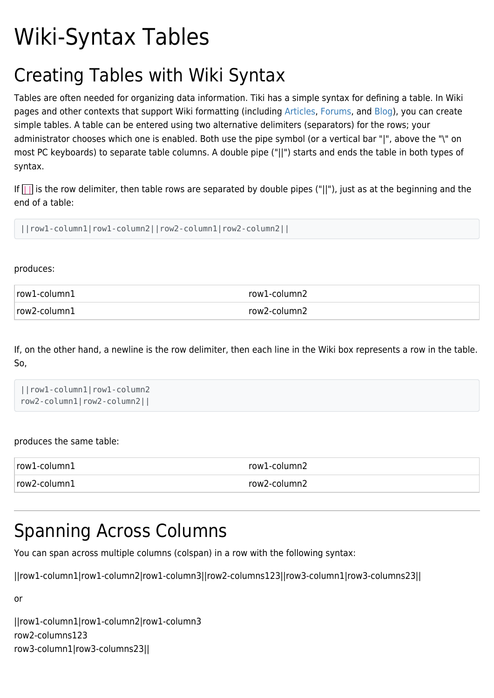# Wiki-Syntax Tables

### Creating Tables with Wiki Syntax

Tables are often needed for organizing data information. Tiki has a simple syntax for defining a table. In Wiki pages and other contexts that support Wiki formatting (including [Articles](https://doc.tiki.org/Articles), [Forums](https://doc.tiki.org/Forums), and [Blog](https://doc.tiki.org/Blog)), you can create simple tables. A table can be entered using two alternative delimiters (separators) for the rows; your administrator chooses which one is enabled. Both use the pipe symbol (or a vertical bar "|", above the "\" on most PC keyboards) to separate table columns. A double pipe ("||") starts and ends the table in both types of syntax.

If  $\|\cdot\|$  is the row delimiter, then table rows are separated by double pipes ("||"), just as at the beginning and the end of a table:

||row1-column1|row1-column2||row2-column1|row2-column2||

produces:

| row1-column1 | row1-column2 |
|--------------|--------------|
| row2-column1 | row2-column2 |

If, on the other hand, a newline is the row delimiter, then each line in the Wiki box represents a row in the table. So,

```
||row1-column1|row1-column2
row2-column1|row2-column2||
```
#### produces the same table:

| $ row1$ -column $1$ | row1-column2 |
|---------------------|--------------|
| row2-column1        | row2-column2 |

### Spanning Across Columns

You can span across multiple columns (colspan) in a row with the following syntax:

||row1-column1|row1-column2|row1-column3||row2-columns123||row3-column1|row3-columns23||

or

||row1-column1|row1-column2|row1-column3 row2-columns123 row3-column1|row3-columns23||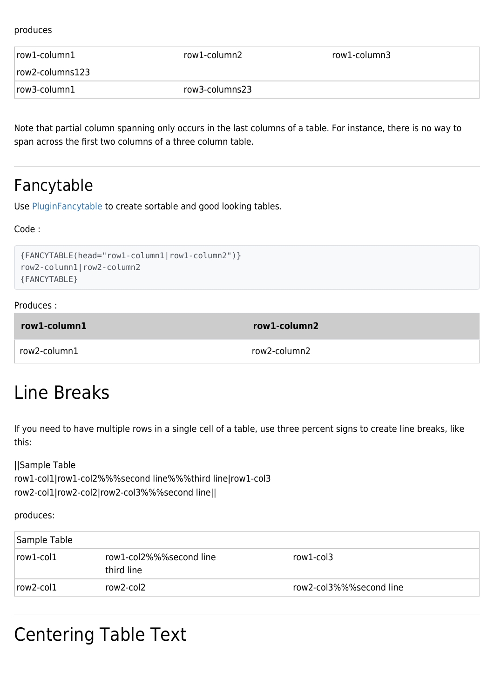#### produces

| $row1$ -column $1$ | row1-column2   | row1-column3 |
|--------------------|----------------|--------------|
| row2-columns123    |                |              |
| row3-column1       | row3-columns23 |              |

Note that partial column spanning only occurs in the last columns of a table. For instance, there is no way to span across the first two columns of a three column table.

#### Fancytable

Use [PluginFancytable](https://doc.tiki.org/PluginFancyTable) to create sortable and good looking tables.

Code :

```
{FANCYTABLE(head="row1-column1|row1-column2")}
row2-column1|row2-column2
{FANCYTABLE}
```
#### Produces :

| row1-column1 | row1-column2 |
|--------------|--------------|
| row2-column1 | row2-column2 |

### Line Breaks

If you need to have multiple rows in a single cell of a table, use three percent signs to create line breaks, like this:

||Sample Table row1-col1|row1-col2%%%second line%%%third line|row1-col3 row2-col1|row2-col2|row2-col3%%%second line||

produces:

| Sample Table    |                                       |                         |
|-----------------|---------------------------------------|-------------------------|
| $row1$ -col $1$ | row1-col2%%%second line<br>third line | row1-col3               |
| row2-col1       | row2-col2                             | row2-col3%%%second line |

#### Centering Table Text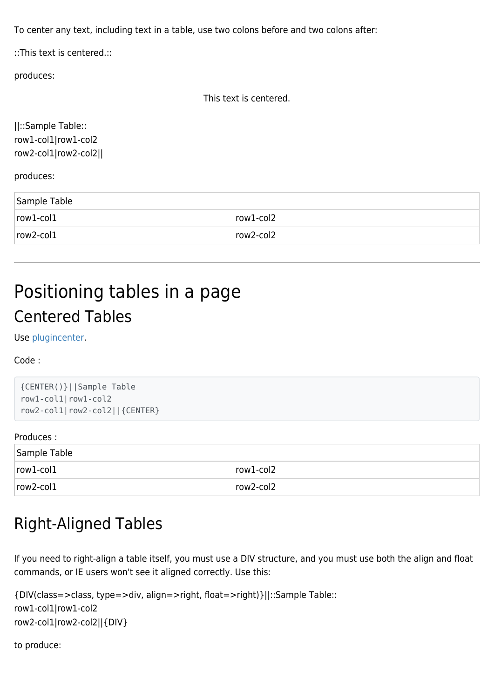To center any text, including text in a table, use two colons before and two colons after:

::This text is centered.::

produces:

```
This text is centered.
```
||::Sample Table:: row1-col1|row1-col2 row2-col1|row2-col2||

produces:

| Sample Table    |           |
|-----------------|-----------|
| $row1$ -col $1$ | row1-col2 |
| $row2$ -col $1$ | row2-col2 |

# Positioning tables in a page Centered Tables

Use [plugincenter](https://doc.tiki.org/PluginCenter).

Code :

```
{CENTER()}||Sample Table
row1-col1|row1-col2
row2-col1|row2-col2||{CENTER}
```
#### Produces :

| Sample Table    |           |
|-----------------|-----------|
| $row1$ -col $1$ | row1-col2 |
| row2-col1       | row2-col2 |
|                 |           |

#### Right-Aligned Tables

If you need to right-align a table itself, you must use a DIV structure, and you must use both the align and float commands, or IE users won't see it aligned correctly. Use this:

```
{DIV(class=>class, type=>div, align=>right, float=>right)}||::Sample Table::
row1-col1|row1-col2
row2-col1|row2-col2||{DIV}
```
to produce: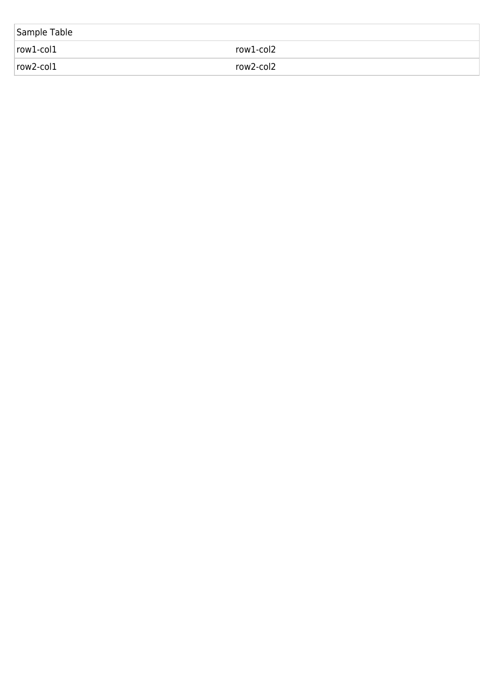| Sample Table    |           |
|-----------------|-----------|
| $row1$ -col $1$ | row1-col2 |
| $row2$ -col $1$ | row2-col2 |